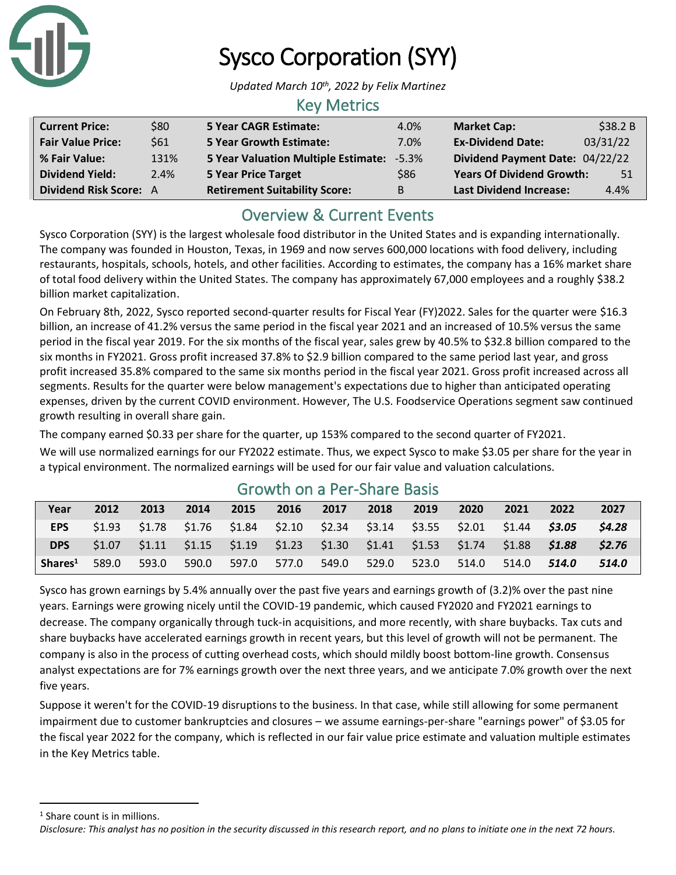

# Sysco Corporation (SYY)

*Updated March 10th, 2022 by Felix Martinez*

### Key Metrics

| <b>Current Price:</b>         | \$80 | <b>5 Year CAGR Estimate:</b>                     | 4.0% | <b>Market Cap:</b>               | \$38.2B  |
|-------------------------------|------|--------------------------------------------------|------|----------------------------------|----------|
| <b>Fair Value Price:</b>      | \$61 | <b>5 Year Growth Estimate:</b>                   | 7.0% | <b>Ex-Dividend Date:</b>         | 03/31/22 |
| % Fair Value:                 | 131% | <b>5 Year Valuation Multiple Estimate: -5.3%</b> |      | Dividend Payment Date: 04/22/22  |          |
| <b>Dividend Yield:</b>        | 2.4% | <b>5 Year Price Target</b>                       | \$86 | <b>Years Of Dividend Growth:</b> | 51       |
| <b>Dividend Risk Score: A</b> |      | <b>Retirement Suitability Score:</b>             | B    | <b>Last Dividend Increase:</b>   | 4.4%     |

### Overview & Current Events

Sysco Corporation (SYY) is the largest wholesale food distributor in the United States and is expanding internationally. The company was founded in Houston, Texas, in 1969 and now serves 600,000 locations with food delivery, including restaurants, hospitals, schools, hotels, and other facilities. According to estimates, the company has a 16% market share of total food delivery within the United States. The company has approximately 67,000 employees and a roughly \$38.2 billion market capitalization.

On February 8th, 2022, Sysco reported second-quarter results for Fiscal Year (FY)2022. Sales for the quarter were \$16.3 billion, an increase of 41.2% versus the same period in the fiscal year 2021 and an increased of 10.5% versus the same period in the fiscal year 2019. For the six months of the fiscal year, sales grew by 40.5% to \$32.8 billion compared to the six months in FY2021. Gross profit increased 37.8% to \$2.9 billion compared to the same period last year, and gross profit increased 35.8% compared to the same six months period in the fiscal year 2021. Gross profit increased across all segments. Results for the quarter were below management's expectations due to higher than anticipated operating expenses, driven by the current COVID environment. However, The U.S. Foodservice Operations segment saw continued growth resulting in overall share gain.

The company earned \$0.33 per share for the quarter, up 153% compared to the second quarter of FY2021. We will use normalized earnings for our FY2022 estimate. Thus, we expect Sysco to make \$3.05 per share for the year in a typical environment. The normalized earnings will be used for our fair value and valuation calculations.

| Year                | 2012  | 2013  | 2014  | 2015 | 2016              | 2017 | 2018                                                                                    | 2019  | 2020  | 2021  | 2022  | 2027         |
|---------------------|-------|-------|-------|------|-------------------|------|-----------------------------------------------------------------------------------------|-------|-------|-------|-------|--------------|
| EPS                 |       |       |       |      |                   |      | $$1.93$ $$1.78$ $$1.76$ $$1.84$ $$2.10$ $$2.34$ $$3.14$ $$3.55$ $$2.01$ $$1.44$ $$3.05$ |       |       |       |       | <b>S4.28</b> |
| <b>DPS</b>          |       |       |       |      |                   |      | $$1.07$ $$1.11$ $$1.15$ $$1.19$ $$1.23$ $$1.30$ $$1.41$ $$1.53$ $$1.74$ $$1.88$ $$1.88$ |       |       |       |       | <b>S2.76</b> |
| Shares <sup>1</sup> | 589.0 | 593.0 | 590.0 |      | 597.0 577.0 549.0 |      | 529.0                                                                                   | 523.0 | 514.0 | 514.0 | 514.0 | 514.0        |

### Growth on a Per-Share Basis

Sysco has grown earnings by 5.4% annually over the past five years and earnings growth of (3.2)% over the past nine years. Earnings were growing nicely until the COVID-19 pandemic, which caused FY2020 and FY2021 earnings to decrease. The company organically through tuck-in acquisitions, and more recently, with share buybacks. Tax cuts and share buybacks have accelerated earnings growth in recent years, but this level of growth will not be permanent. The company is also in the process of cutting overhead costs, which should mildly boost bottom-line growth. Consensus analyst expectations are for 7% earnings growth over the next three years, and we anticipate 7.0% growth over the next five years.

Suppose it weren't for the COVID-19 disruptions to the business. In that case, while still allowing for some permanent impairment due to customer bankruptcies and closures – we assume earnings-per-share "earnings power" of \$3.05 for the fiscal year 2022 for the company, which is reflected in our fair value price estimate and valuation multiple estimates in the Key Metrics table.

<sup>1</sup> Share count is in millions.

*Disclosure: This analyst has no position in the security discussed in this research report, and no plans to initiate one in the next 72 hours.*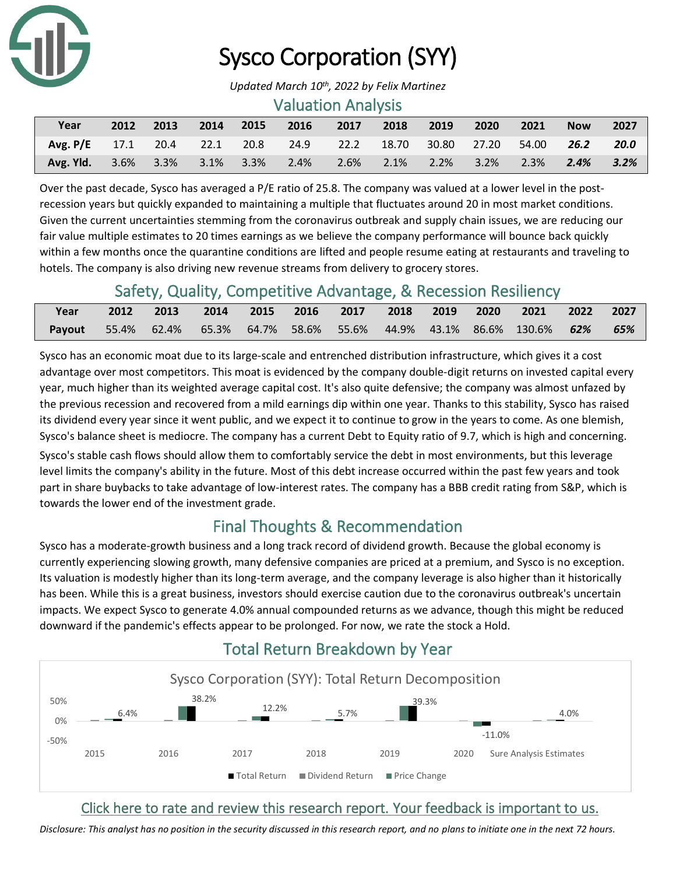

# Sysco Corporation (SYY)

#### Valuation Analysis

| Year                                                           | 2012 | 2013 | 2014 | 2015 | 2016 | 2017                     | $\sim$ 2018 | 2019 | 2020 | $\sqrt{2021}$ | <b>Now</b> | 2027 |
|----------------------------------------------------------------|------|------|------|------|------|--------------------------|-------------|------|------|---------------|------------|------|
| Avg. P/E 17.1 20.4 22.1 20.8 24.9 22.2 18.70 30.80 27.20 54.00 |      |      |      |      |      |                          |             |      |      |               | 26.2       | 20.0 |
| <b>Avg. Yld.</b> 3.6% 3.3% 3.1% 3.3% 2.4%                      |      |      |      |      |      | 2.6% 2.1% 2.2% 3.2% 2.3% |             |      |      |               | $2.4\%$    | 3.2% |

Over the past decade, Sysco has averaged a P/E ratio of 25.8. The company was valued at a lower level in the postrecession years but quickly expanded to maintaining a multiple that fluctuates around 20 in most market conditions. Given the current uncertainties stemming from the coronavirus outbreak and supply chain issues, we are reducing our fair value multiple estimates to 20 times earnings as we believe the company performance will bounce back quickly within a few months once the quarantine conditions are lifted and people resume eating at restaurants and traveling to hotels. The company is also driving new revenue streams from delivery to grocery stores.

### Safety, Quality, Competitive Advantage, & Recession Resiliency

| Year                                                                               |  |  |  |  | 2012 2013 2014 2015 2016 2017 2018 2019 2020 2021 2022 2027 |  |
|------------------------------------------------------------------------------------|--|--|--|--|-------------------------------------------------------------|--|
| <b>Payout</b> 55.4% 62.4% 65.3% 64.7% 58.6% 55.6% 44.9% 43.1% 86.6% 130.6% 62% 65% |  |  |  |  |                                                             |  |

Sysco has an economic moat due to its large-scale and entrenched distribution infrastructure, which gives it a cost advantage over most competitors. This moat is evidenced by the company double-digit returns on invested capital every year, much higher than its weighted average capital cost. It's also quite defensive; the company was almost unfazed by the previous recession and recovered from a mild earnings dip within one year. Thanks to this stability, Sysco has raised its dividend every year since it went public, and we expect it to continue to grow in the years to come. As one blemish, Sysco's balance sheet is mediocre. The company has a current Debt to Equity ratio of 9.7, which is high and concerning.

Sysco's stable cash flows should allow them to comfortably service the debt in most environments, but this leverage level limits the company's ability in the future. Most of this debt increase occurred within the past few years and took part in share buybacks to take advantage of low-interest rates. The company has a BBB credit rating from S&P, which is towards the lower end of the investment grade.

### Final Thoughts & Recommendation

Sysco has a moderate-growth business and a long track record of dividend growth. Because the global economy is currently experiencing slowing growth, many defensive companies are priced at a premium, and Sysco is no exception. Its valuation is modestly higher than its long-term average, and the company leverage is also higher than it historically has been. While this is a great business, investors should exercise caution due to the coronavirus outbreak's uncertain impacts. We expect Sysco to generate 4.0% annual compounded returns as we advance, though this might be reduced downward if the pandemic's effects appear to be prolonged. For now, we rate the stock a Hold.



## Total Return Breakdown by Year

### [Click here to rate and review this research report. Your feedback is important to us.](https://suredividend.typeform.com/to/NqXmiI)

*Disclosure: This analyst has no position in the security discussed in this research report, and no plans to initiate one in the next 72 hours.*

*Updated March 10th, 2022 by Felix Martinez*